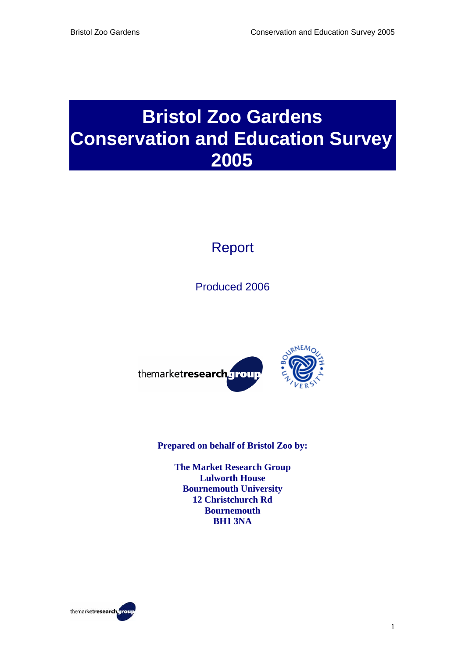# **Bristol Zoo Gardens Conservation and Education Survey 2005**

# Report

Produced 2006



**Prepared on behalf of Bristol Zoo by:** 

**The Market Research Group Lulworth House Bournemouth University 12 Christchurch Rd Bournemouth BH1 3NA** 

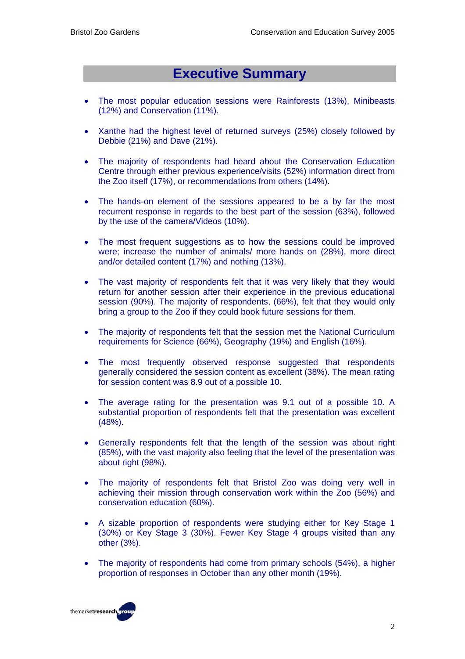## **Executive Summary**

- The most popular education sessions were Rainforests (13%), Minibeasts (12%) and Conservation (11%).
- Xanthe had the highest level of returned surveys (25%) closely followed by Debbie (21%) and Dave (21%).
- The majority of respondents had heard about the Conservation Education Centre through either previous experience/visits (52%) information direct from the Zoo itself (17%), or recommendations from others (14%).
- The hands-on element of the sessions appeared to be a by far the most recurrent response in regards to the best part of the session (63%), followed by the use of the camera/Videos (10%).
- The most frequent suggestions as to how the sessions could be improved were; increase the number of animals/ more hands on (28%), more direct and/or detailed content (17%) and nothing (13%).
- The vast majority of respondents felt that it was very likely that they would return for another session after their experience in the previous educational session (90%). The majority of respondents, (66%), felt that they would only bring a group to the Zoo if they could book future sessions for them.
- The majority of respondents felt that the session met the National Curriculum requirements for Science (66%), Geography (19%) and English (16%).
- The most frequently observed response suggested that respondents generally considered the session content as excellent (38%). The mean rating for session content was 8.9 out of a possible 10.
- The average rating for the presentation was 9.1 out of a possible 10. A substantial proportion of respondents felt that the presentation was excellent (48%).
- Generally respondents felt that the length of the session was about right (85%), with the vast majority also feeling that the level of the presentation was about right (98%).
- The majority of respondents felt that Bristol Zoo was doing very well in achieving their mission through conservation work within the Zoo (56%) and conservation education (60%).
- A sizable proportion of respondents were studying either for Key Stage 1 (30%) or Key Stage 3 (30%). Fewer Key Stage 4 groups visited than any other (3%).
- The majority of respondents had come from primary schools (54%), a higher proportion of responses in October than any other month (19%).

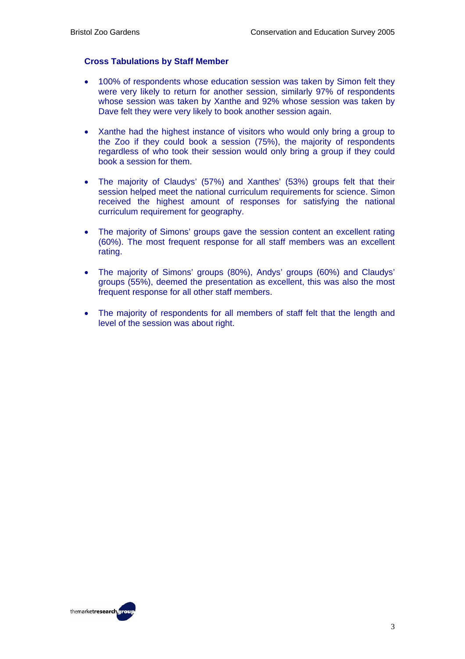#### **Cross Tabulations by Staff Member**

- 100% of respondents whose education session was taken by Simon felt they were very likely to return for another session, similarly 97% of respondents whose session was taken by Xanthe and 92% whose session was taken by Dave felt they were very likely to book another session again.
- Xanthe had the highest instance of visitors who would only bring a group to the Zoo if they could book a session (75%), the majority of respondents regardless of who took their session would only bring a group if they could book a session for them.
- The majority of Claudys' (57%) and Xanthes' (53%) groups felt that their session helped meet the national curriculum requirements for science. Simon received the highest amount of responses for satisfying the national curriculum requirement for geography.
- The majority of Simons' groups gave the session content an excellent rating (60%). The most frequent response for all staff members was an excellent rating.
- The majority of Simons' groups (80%), Andys' groups (60%) and Claudys' groups (55%), deemed the presentation as excellent, this was also the most frequent response for all other staff members.
- The majority of respondents for all members of staff felt that the length and level of the session was about right.

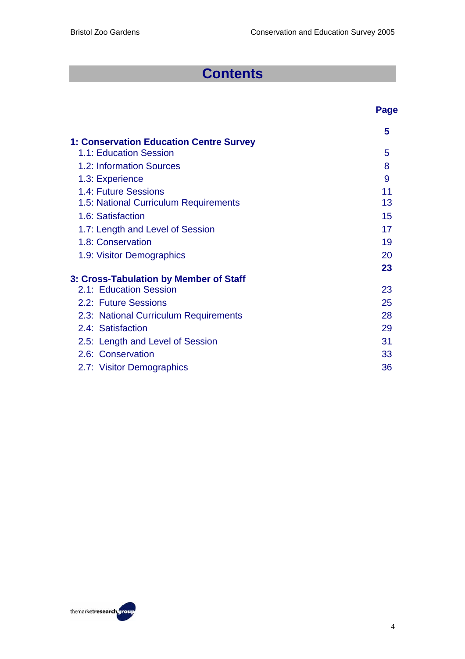**Page** 

# **Contents**

|                                                | 5  |
|------------------------------------------------|----|
| <b>1: Conservation Education Centre Survey</b> |    |
| 1.1: Education Session                         | 5  |
| 1.2: Information Sources                       | 8  |
| 1.3: Experience                                | 9  |
| 1.4: Future Sessions                           | 11 |
| 1.5: National Curriculum Requirements          | 13 |
| 1.6: Satisfaction                              | 15 |
| 1.7: Length and Level of Session               | 17 |
| 1.8: Conservation                              | 19 |
| 1.9: Visitor Demographics                      | 20 |
|                                                | 23 |
| 3: Cross-Tabulation by Member of Staff         |    |
| 2.1: Education Session                         | 23 |
| 2.2: Future Sessions                           | 25 |
| 2.3: National Curriculum Requirements          | 28 |
| 2.4: Satisfaction                              | 29 |
| 2.5: Length and Level of Session               | 31 |
| 2.6: Conservation                              | 33 |
| 2.7: Visitor Demographics                      | 36 |

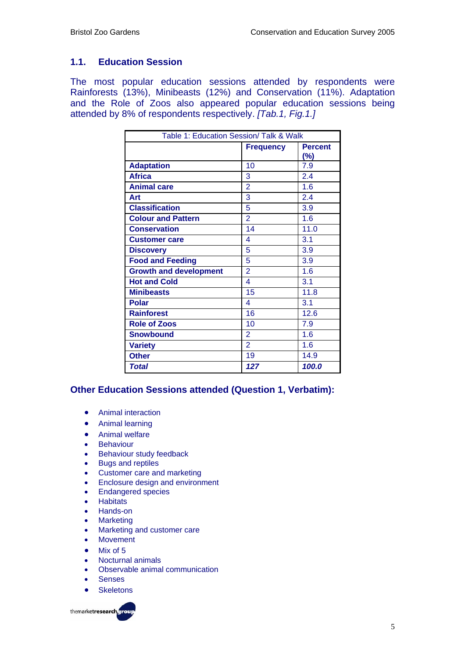#### **1.1. Education Session**

The most popular education sessions attended by respondents were Rainforests (13%), Minibeasts (12%) and Conservation (11%). Adaptation and the Role of Zoos also appeared popular education sessions being attended by 8% of respondents respectively. *[Tab.1, Fig.1.]* 

| Table 1: Education Session/ Talk & Walk |                |       |
|-----------------------------------------|----------------|-------|
| <b>Percent</b><br><b>Frequency</b>      |                |       |
|                                         |                | (%)   |
| <b>Adaptation</b>                       | 10             | 7.9   |
| <b>Africa</b>                           | 3              | 2.4   |
| <b>Animal care</b>                      | $\overline{2}$ | 1.6   |
| Art                                     | 3              | 2.4   |
| <b>Classification</b>                   | 5              | 3.9   |
| <b>Colour and Pattern</b>               | $\overline{2}$ | 1.6   |
| <b>Conservation</b>                     | 14             | 11.0  |
| <b>Customer care</b>                    | 4              | 3.1   |
| <b>Discovery</b>                        | 5              | 3.9   |
| <b>Food and Feeding</b>                 | 5              | 3.9   |
| <b>Growth and development</b>           | $\overline{2}$ | 1.6   |
| <b>Hot and Cold</b>                     | 4              | 3.1   |
| <b>Minibeasts</b>                       | 15             | 11.8  |
| <b>Polar</b>                            | 4              | 3.1   |
| <b>Rainforest</b>                       | 16             | 12.6  |
| <b>Role of Zoos</b>                     | 10             | 7.9   |
| <b>Snowbound</b>                        | $\overline{2}$ | 1.6   |
| <b>Variety</b>                          | $\overline{2}$ | 1.6   |
| <b>Other</b>                            | 19             | 14.9  |
| <b>Total</b>                            | 127            | 100.0 |

#### **Other Education Sessions attended (Question 1, Verbatim):**

- Animal interaction
- Animal learning
- Animal welfare
- Behaviour
- Behaviour study feedback
- Bugs and reptiles
- Customer care and marketing
- Enclosure design and environment
- Endangered species
- **Habitats**
- Hands-on
- **Marketing**
- Marketing and customer care
- **Movement**
- Mix of 5
- Nocturnal animals
- Observable animal communication
- **Senses**
- Skeletons

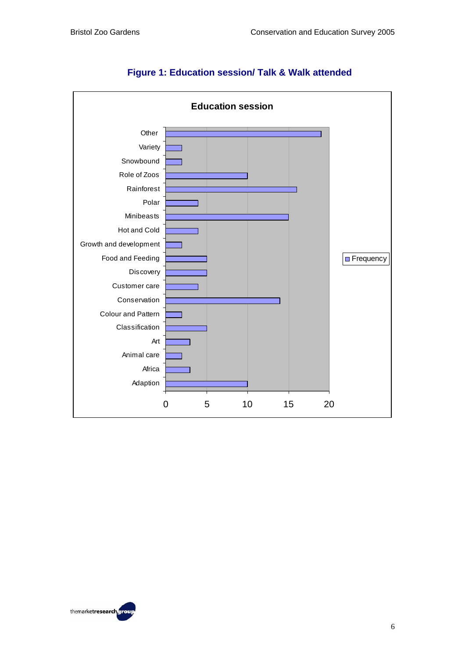

#### **Figure 1: Education session/ Talk & Walk attended**

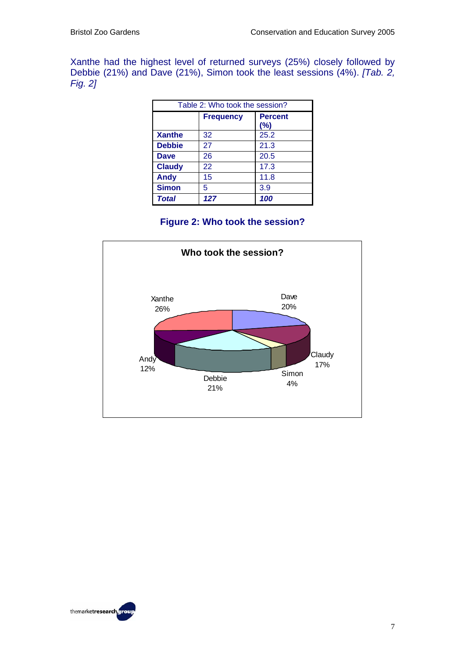Xanthe had the highest level of returned surveys (25%) closely followed by Debbie (21%) and Dave (21%), Simon took the least sessions (4%). *[Tab. 2, Fig. 2]*

| Table 2: Who took the session? |                                           |      |
|--------------------------------|-------------------------------------------|------|
|                                | <b>Frequency</b><br><b>Percent</b><br>(%) |      |
| <b>Xanthe</b>                  | 32                                        | 25.2 |
| <b>Debbie</b>                  | 27                                        | 21.3 |
| <b>Dave</b>                    | 26                                        | 20.5 |
| <b>Claudy</b>                  | 22                                        | 17.3 |
| <b>Andy</b>                    | 15                                        | 11.8 |
| <b>Simon</b>                   | 5                                         | 3.9  |
| <b>Total</b>                   | 127                                       | 100  |

## **Figure 2: Who took the session?**



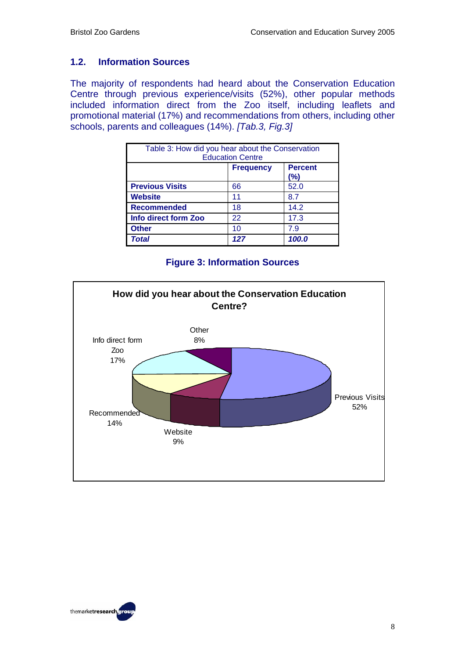#### **1.2. Information Sources**

The majority of respondents had heard about the Conservation Education Centre through previous experience/visits (52%), other popular methods included information direct from the Zoo itself, including leaflets and promotional material (17%) and recommendations from others, including other schools, parents and colleagues (14%). *[Tab.3, Fig.3]* 

| Table 3: How did you hear about the Conservation<br><b>Education Centre</b> |     |       |  |
|-----------------------------------------------------------------------------|-----|-------|--|
| <b>Percent</b><br><b>Frequency</b><br>(%)                                   |     |       |  |
| <b>Previous Visits</b>                                                      | 66  | 52.0  |  |
| <b>Website</b>                                                              | 11  | 8.7   |  |
| Recommended                                                                 | 18  | 14.2  |  |
| Info direct form Zoo                                                        | 22  | 17.3  |  |
| <b>Other</b>                                                                | 10  | 7.9   |  |
| Total                                                                       | 127 | 100.0 |  |

#### **Figure 3: Information Sources**



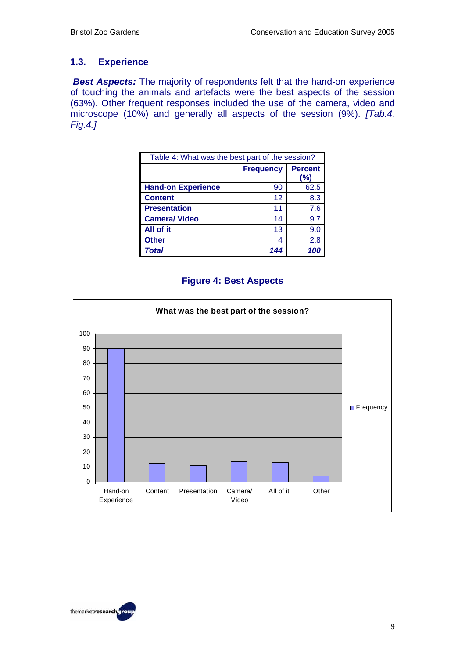#### **1.3. Experience**

**Best Aspects:** The majority of respondents felt that the hand-on experience of touching the animals and artefacts were the best aspects of the session (63%). Other frequent responses included the use of the camera, video and microscope (10%) and generally all aspects of the session (9%). *[Tab.4, Fig.4.]* 

| Table 4: What was the best part of the session? |     |      |  |
|-------------------------------------------------|-----|------|--|
| <b>Percent</b><br><b>Frequency</b><br>(%)       |     |      |  |
| <b>Hand-on Experience</b>                       | 90  | 62.5 |  |
| <b>Content</b>                                  | 12  | 8.3  |  |
| <b>Presentation</b>                             | 11  | 7.6  |  |
| <b>Camera/ Video</b>                            | 14  | 9.7  |  |
| All of it                                       | 13  | 9.0  |  |
| <b>Other</b>                                    | 4   | 2.8  |  |
| Total                                           | 144 | 10   |  |

#### **Figure 4: Best Aspects**



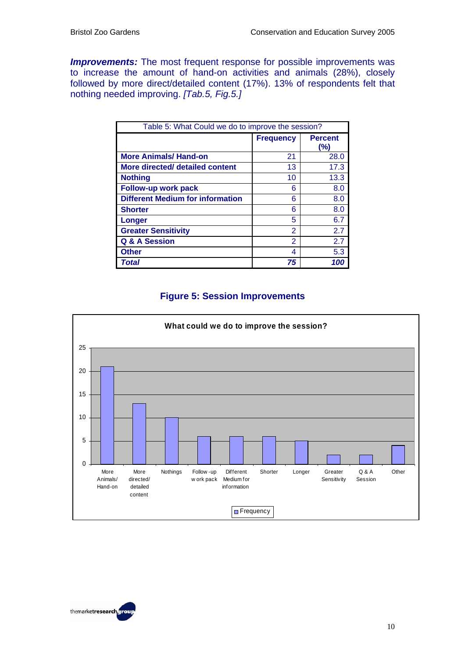**Improvements:** The most frequent response for possible improvements was to increase the amount of hand-on activities and animals (28%), closely followed by more direct/detailed content (17%). 13% of respondents felt that nothing needed improving. *[Tab.5, Fig.5.]* 

| Table 5: What Could we do to improve the session? |                  |                       |
|---------------------------------------------------|------------------|-----------------------|
|                                                   | <b>Frequency</b> | <b>Percent</b><br>(%) |
| <b>More Animals/ Hand-on</b>                      | 21               | 28.0                  |
| More directed/ detailed content                   | 13               | 17.3                  |
| <b>Nothing</b>                                    | 10               | 13.3                  |
| Follow-up work pack                               | 6                | 8.0                   |
| <b>Different Medium for information</b>           | 6                | 8.0                   |
| <b>Shorter</b>                                    | 6                | 8.0                   |
| Longer                                            | 5                | 6.7                   |
| <b>Greater Sensitivity</b>                        | 2                | 2.7                   |
| <b>Q &amp; A Session</b>                          | 2                | 2.7                   |
| <b>Other</b>                                      | 4                | 5.3                   |
| Total                                             | 75               | 100                   |

## **Figure 5: Session Improvements**



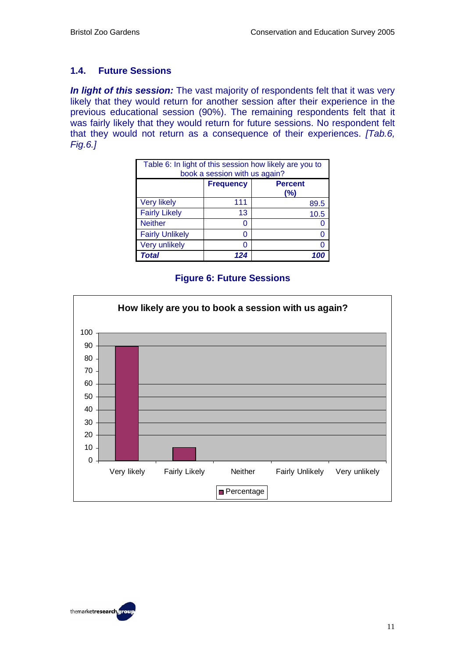#### **1.4. Future Sessions**

*In light of this session:* The vast majority of respondents felt that it was very likely that they would return for another session after their experience in the previous educational session (90%). The remaining respondents felt that it was fairly likely that they would return for future sessions. No respondent felt that they would not return as a consequence of their experiences. *[Tab.6, Fig.6.]* 

| Table 6: In light of this session how likely are you to<br>book a session with us again? |                  |                       |
|------------------------------------------------------------------------------------------|------------------|-----------------------|
|                                                                                          | <b>Frequency</b> | <b>Percent</b><br>(%) |
| <b>Very likely</b>                                                                       | 111              | 89.5                  |
| <b>Fairly Likely</b>                                                                     | 13               | 10.5                  |
| <b>Neither</b>                                                                           | 0                |                       |
| <b>Fairly Unlikely</b>                                                                   | O                |                       |
| <b>Very unlikely</b>                                                                     | 0                |                       |
| <b>Total</b>                                                                             | 124              |                       |

#### **Figure 6: Future Sessions**



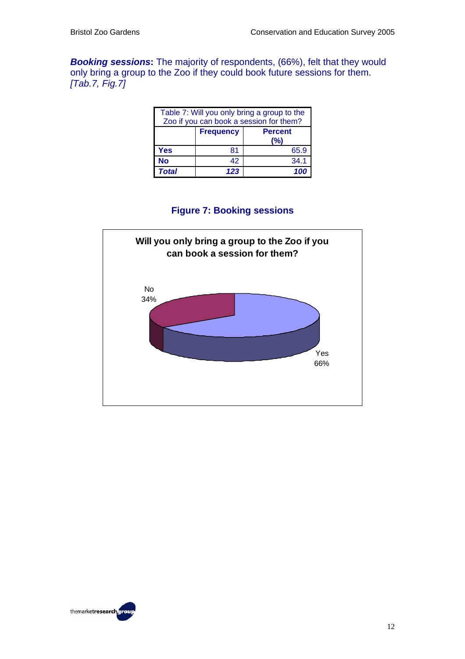*Booking sessions***:** The majority of respondents, (66%), felt that they would only bring a group to the Zoo if they could book future sessions for them. *[Tab.7, Fig.7]*

| Table 7: Will you only bring a group to the<br>Zoo if you can book a session for them? |                                           |      |  |
|----------------------------------------------------------------------------------------|-------------------------------------------|------|--|
|                                                                                        | <b>Frequency</b><br><b>Percent</b><br>(%) |      |  |
| Yes                                                                                    | 81                                        | 65.9 |  |
| <b>No</b>                                                                              | 42                                        | 34.1 |  |
| <b>Total</b>                                                                           | 123                                       | 100  |  |

#### **Figure 7: Booking sessions**



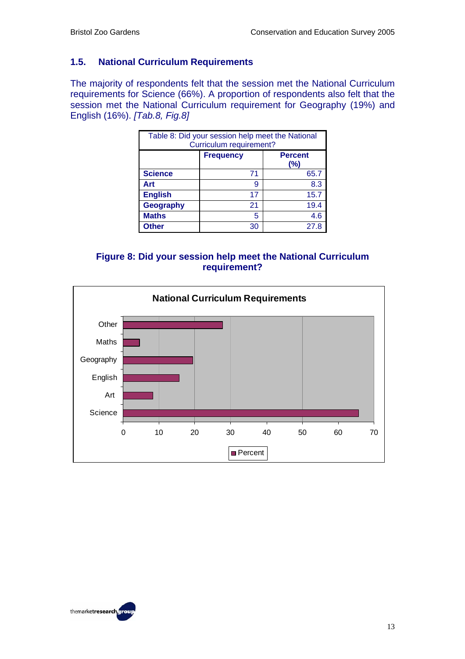#### **1.5. National Curriculum Requirements**

The majority of respondents felt that the session met the National Curriculum requirements for Science (66%). A proportion of respondents also felt that the session met the National Curriculum requirement for Geography (19%) and English (16%). *[Tab.8, Fig.8]*

| Table 8: Did your session help meet the National<br>Curriculum requirement? |                                              |      |
|-----------------------------------------------------------------------------|----------------------------------------------|------|
|                                                                             | <b>Frequency</b><br><b>Percent</b><br>$(\%)$ |      |
| <b>Science</b>                                                              | 71                                           | 65.7 |
| Art                                                                         | 9                                            | 8.3  |
| <b>English</b>                                                              | 17                                           | 15.7 |
| Geography                                                                   | 21                                           | 19.4 |
| <b>Maths</b>                                                                | 5                                            | 4.6  |
| <b>Other</b>                                                                | 30                                           | 27.8 |

**Figure 8: Did your session help meet the National Curriculum requirement?** 



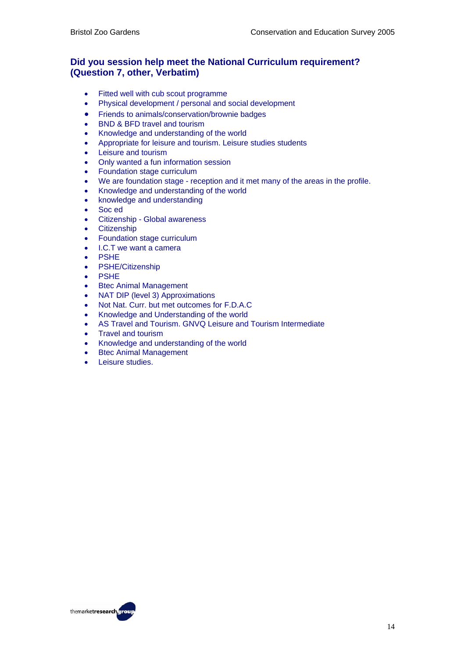#### **Did you session help meet the National Curriculum requirement? (Question 7, other, Verbatim)**

- Fitted well with cub scout programme
- Physical development / personal and social development
- Friends to animals/conservation/brownie badges
- BND & BFD travel and tourism
- Knowledge and understanding of the world
- Appropriate for leisure and tourism. Leisure studies students
- Leisure and tourism
- Only wanted a fun information session
- Foundation stage curriculum
- We are foundation stage reception and it met many of the areas in the profile.
- Knowledge and understanding of the world
- knowledge and understanding
- Soc ed
- Citizenship Global awareness
- **Citizenship**
- Foundation stage curriculum
- I.C.T we want a camera
- **PSHE**
- PSHE/Citizenship
- **PSHE**
- **Btec Animal Management**
- NAT DIP (level 3) Approximations
- Not Nat. Curr. but met outcomes for F.D.A.C
- Knowledge and Understanding of the world
- AS Travel and Tourism. GNVQ Leisure and Tourism Intermediate
- Travel and tourism
- Knowledge and understanding of the world
- **Btec Animal Management**
- Leisure studies.

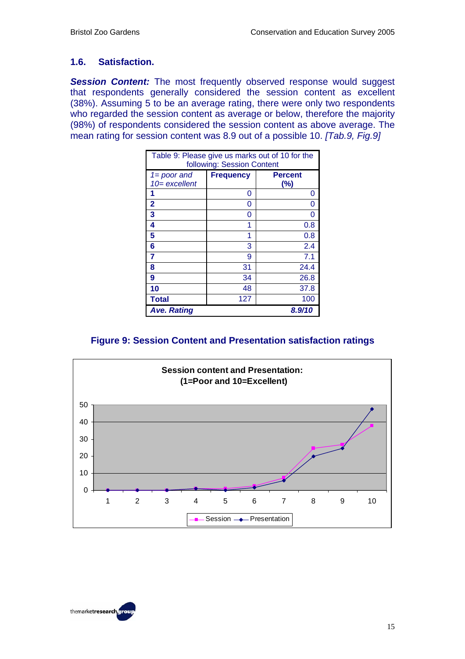#### **1.6. Satisfaction.**

**Session Content:** The most frequently observed response would suggest that respondents generally considered the session content as excellent (38%). Assuming 5 to be an average rating, there were only two respondents who regarded the session content as average or below, therefore the majority (98%) of respondents considered the session content as above average. The mean rating for session content was 8.9 out of a possible 10. *[Tab.9, Fig.9]*

| Table 9: Please give us marks out of 10 for the<br>following: Session Content |                  |                          |
|-------------------------------------------------------------------------------|------------------|--------------------------|
| $1 = poor$ and<br>$10$ = excellent                                            | <b>Frequency</b> | <b>Percent</b><br>$(\%)$ |
|                                                                               | 0                | O                        |
| $\mathbf{2}$                                                                  | 0                | O                        |
| 3                                                                             | 0                |                          |
| 4                                                                             |                  | 0.8                      |
| 5                                                                             | 1                | 0.8                      |
| 6                                                                             | 3                | 2.4                      |
| 7                                                                             | 9                | 7.1                      |
| 8                                                                             | 31               | 24.4                     |
| 9                                                                             | 34               | 26.8                     |
| 10                                                                            | 48               | 37.8                     |
| <b>Total</b>                                                                  | 127              | 100                      |
| <b>Ave. Rating</b>                                                            |                  | 8.9/10                   |

#### **Figure 9: Session Content and Presentation satisfaction ratings**



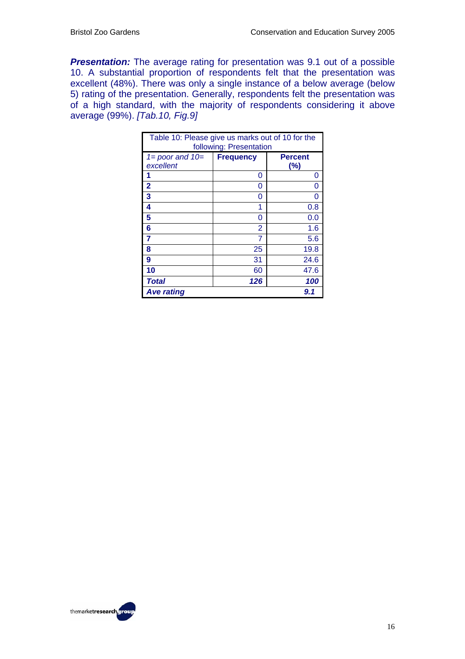**Presentation:** The average rating for presentation was 9.1 out of a possible 10. A substantial proportion of respondents felt that the presentation was excellent (48%). There was only a single instance of a below average (below 5) rating of the presentation. Generally, respondents felt the presentation was of a high standard, with the majority of respondents considering it above average (99%). *[Tab.10, Fig.9]*

| Table 10: Please give us marks out of 10 for the<br>following: Presentation |                  |                          |
|-----------------------------------------------------------------------------|------------------|--------------------------|
| $1 = poor$ and $10 =$<br>excellent                                          | <b>Frequency</b> | <b>Percent</b><br>$(\%)$ |
|                                                                             | 0                | 0                        |
| $\overline{2}$                                                              | 0                | O                        |
| 3                                                                           | ი                |                          |
| 4                                                                           | 1                | 0.8                      |
| 5                                                                           | O                | 0.0                      |
| 6                                                                           | 2                | 1.6                      |
| 7                                                                           | 7                | 5.6                      |
| 8                                                                           | 25               | 19.8                     |
| 9                                                                           | 31               | 24.6                     |
| 10                                                                          | 60               | 47.6                     |
| <b>Total</b>                                                                | 126              | 100                      |
| <b>Ave rating</b>                                                           |                  | 9.1                      |

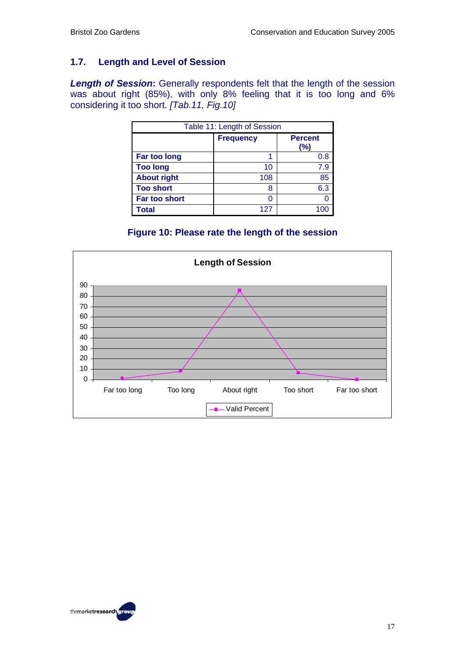#### **1.7. Length and Level of Session**

**Length of Session:** Generally respondents felt that the length of the session was about right (85%), with only 8% feeling that it is too long and 6% considering it too short. *[Tab.11, Fig.10]* 

| Table 11: Length of Session |                  |                          |
|-----------------------------|------------------|--------------------------|
|                             | <b>Frequency</b> | <b>Percent</b><br>$(\%)$ |
| Far too long                |                  | 0.8                      |
| <b>Too long</b>             | 10               | 7.9                      |
| <b>About right</b>          | 108              | 85                       |
| <b>Too short</b>            | 8                | 6.3                      |
| Far too short               |                  |                          |
| Total                       | 127              |                          |

#### **Figure 10: Please rate the length of the session**



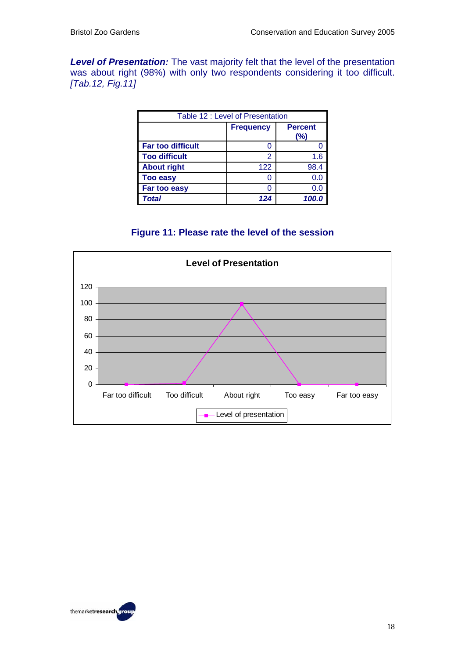*Level of Presentation:* The vast majority felt that the level of the presentation was about right (98%) with only two respondents considering it too difficult. *[Tab.12, Fig.11]*

|                          | Table 12 : Level of Presentation |                       |
|--------------------------|----------------------------------|-----------------------|
|                          | <b>Frequency</b>                 | <b>Percent</b><br>(%) |
| <b>Far too difficult</b> | O                                |                       |
| <b>Too difficult</b>     | 2                                | 1.6                   |
| <b>About right</b>       | 122                              | 98.4                  |
| <b>Too easy</b>          | ი                                | 0.0                   |
| Far too easy             | N                                | 0.0                   |
| Total                    | 124                              | 100.0                 |

#### **Figure 11: Please rate the level of the session**



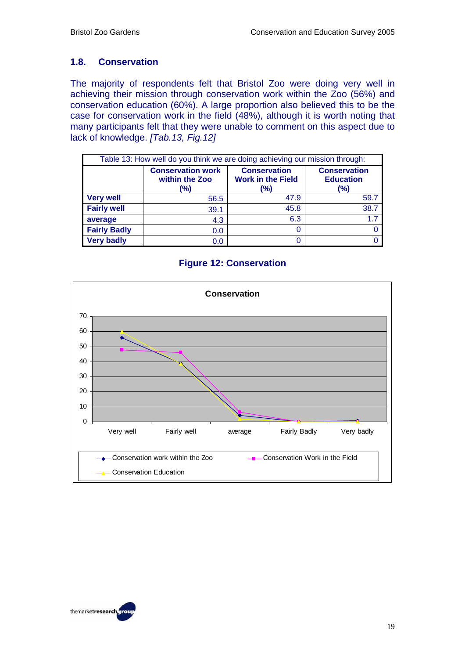#### **1.8. Conservation**

The majority of respondents felt that Bristol Zoo were doing very well in achieving their mission through conservation work within the Zoo (56%) and conservation education (60%). A large proportion also believed this to be the case for conservation work in the field (48%), although it is worth noting that many participants felt that they were unable to comment on this aspect due to lack of knowledge. *[Tab.13, Fig.12]*

| Table 13: How well do you think we are doing achieving our mission through: |                                                   |                                                        |                                                |  |  |  |  |  |  |  |  |
|-----------------------------------------------------------------------------|---------------------------------------------------|--------------------------------------------------------|------------------------------------------------|--|--|--|--|--|--|--|--|
|                                                                             | <b>Conservation work</b><br>within the Zoo<br>(%) | <b>Conservation</b><br><b>Work in the Field</b><br>(%) | <b>Conservation</b><br><b>Education</b><br>(%) |  |  |  |  |  |  |  |  |
| <b>Very well</b>                                                            | 56.5                                              | 47.9                                                   | 59.7                                           |  |  |  |  |  |  |  |  |
| <b>Fairly well</b>                                                          | 39.1                                              | 45.8                                                   | 38.7                                           |  |  |  |  |  |  |  |  |
| average                                                                     | 4.3                                               | 6.3                                                    | 1.7                                            |  |  |  |  |  |  |  |  |
| <b>Fairly Badly</b>                                                         | 0.0                                               | 0                                                      |                                                |  |  |  |  |  |  |  |  |
| <b>Very badly</b>                                                           | 0.0                                               | O                                                      |                                                |  |  |  |  |  |  |  |  |

#### **Figure 12: Conservation**



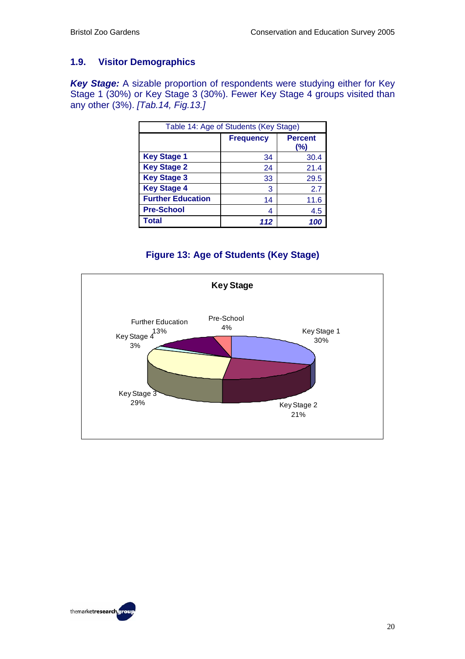#### **1.9. Visitor Demographics**

*Key Stage:* A sizable proportion of respondents were studying either for Key Stage 1 (30%) or Key Stage 3 (30%). Fewer Key Stage 4 groups visited than any other (3%). *[Tab.14, Fig.13.]* 

|                          | Table 14: Age of Students (Key Stage) |                          |
|--------------------------|---------------------------------------|--------------------------|
|                          | <b>Frequency</b>                      | <b>Percent</b><br>$(\%)$ |
| <b>Key Stage 1</b>       | 34                                    | 30.4                     |
| <b>Key Stage 2</b>       | 24                                    | 21.4                     |
| <b>Key Stage 3</b>       | 33                                    | 29.5                     |
| <b>Key Stage 4</b>       | 3                                     | 2.7                      |
| <b>Further Education</b> | 14                                    | 11.6                     |
| <b>Pre-School</b>        | 4                                     | 4.5                      |
| Total                    | 112                                   | 100                      |

## **Figure 13: Age of Students (Key Stage)**



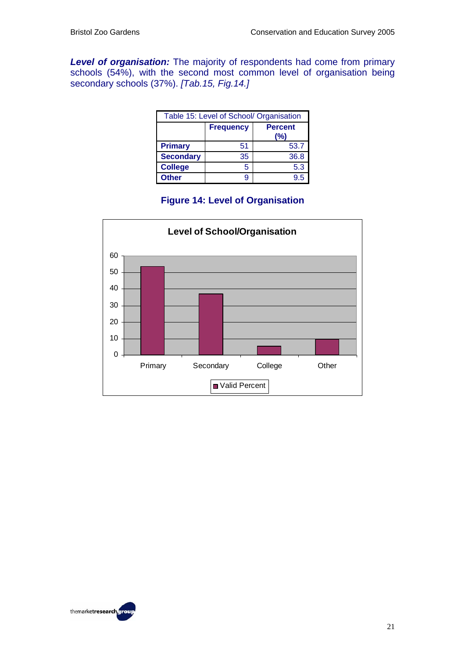*Level of organisation:* The majority of respondents had come from primary schools (54%), with the second most common level of organisation being secondary schools (37%). *[Tab.15, Fig.14.]* 

| Table 15: Level of School/ Organisation   |    |      |  |  |  |  |  |  |  |  |  |
|-------------------------------------------|----|------|--|--|--|--|--|--|--|--|--|
| <b>Frequency</b><br><b>Percent</b><br>(%) |    |      |  |  |  |  |  |  |  |  |  |
| <b>Primary</b>                            | 51 | 53.7 |  |  |  |  |  |  |  |  |  |
| <b>Secondary</b>                          | 35 | 36.8 |  |  |  |  |  |  |  |  |  |
| <b>College</b>                            | 5  | 5.3  |  |  |  |  |  |  |  |  |  |
| <b>Other</b>                              | g  | 9.5  |  |  |  |  |  |  |  |  |  |

#### **Figure 14: Level of Organisation**



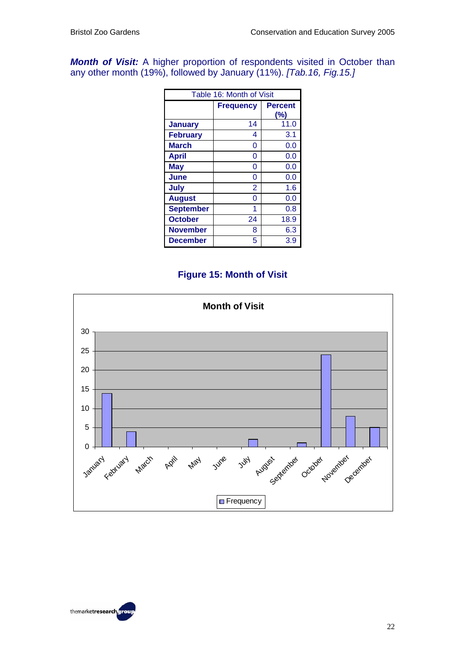*Month of Visit:* A higher proportion of respondents visited in October than any other month (19%), followed by January (11%). *[Tab.16, Fig.15.]* 

|                  | Table 16: Month of Visit |                       |
|------------------|--------------------------|-----------------------|
|                  | <b>Frequency</b>         | <b>Percent</b><br>(%) |
| <b>January</b>   | 14                       | 11.0                  |
| <b>February</b>  | 4                        | 3.1                   |
| <b>March</b>     | 0                        | 0.0                   |
| <b>April</b>     | 0                        | 0.0                   |
| <b>May</b>       | 0                        | 0.0                   |
| June             | 0                        | 0.0                   |
| July             | $\overline{2}$           | 1.6                   |
| <b>August</b>    | 0                        | 0.0                   |
| <b>September</b> | 1                        | 0.8                   |
| <b>October</b>   | 24                       | 18.9                  |
| <b>November</b>  | 8                        | 6.3                   |
| <b>December</b>  | 5                        | 3.9                   |

#### **Figure 15: Month of Visit**



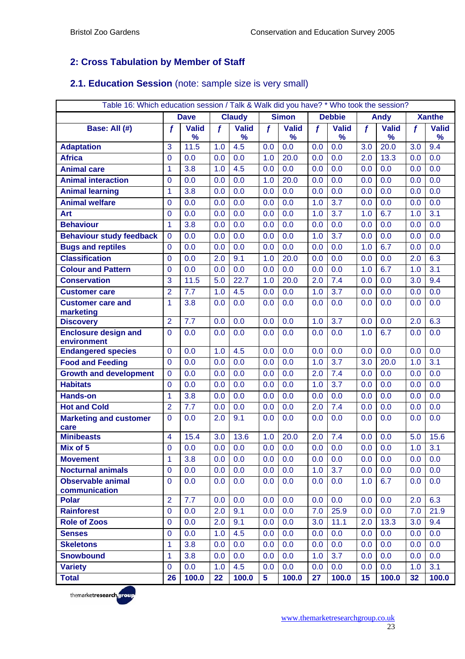## **2: Cross Tabulation by Member of Staff**

### **2.1. Education Session** (note: sample size is very small)

|                                            | Table 16: Which education session / Talk & Walk did you have? * Who took the session? |              |                  |               |                  |              |                  |               |     |              |             |                  |  |  |
|--------------------------------------------|---------------------------------------------------------------------------------------|--------------|------------------|---------------|------------------|--------------|------------------|---------------|-----|--------------|-------------|------------------|--|--|
|                                            |                                                                                       | <b>Dave</b>  |                  | <b>Claudy</b> |                  | <b>Simon</b> |                  | <b>Debbie</b> |     | <b>Andy</b>  |             | <b>Xanthe</b>    |  |  |
| Base: All (#)                              | $\boldsymbol{f}$                                                                      | <b>Valid</b> | $\boldsymbol{f}$ | <b>Valid</b>  | $\boldsymbol{f}$ | <b>Valid</b> | $\mathbf f$      | <b>Valid</b>  | f   | <b>Valid</b> | $\mathbf f$ | <b>Valid</b>     |  |  |
|                                            |                                                                                       | ℅            |                  | $\%$          |                  | $\%$         |                  | %             |     | %            |             | $\%$             |  |  |
| <b>Adaptation</b>                          | 3                                                                                     | 11.5         | 1.0              | 4.5           | 0.0              | 0.0          | 0.0              | 0.0           | 3.0 | 20.0         | 3.0         | 9.4              |  |  |
| <b>Africa</b>                              | $\mathbf 0$                                                                           | 0.0          | 0.0              | 0.0           | 1.0              | 20.0         | 0.0              | 0.0           | 2.0 | 13.3         | 0.0         | 0.0              |  |  |
| <b>Animal care</b>                         | 1                                                                                     | 3.8          | 1.0              | 4.5           | 0.0              | 0.0          | $0.\overline{0}$ | 0.0           | 0.0 | 0.0          | 0.0         | $\overline{0.0}$ |  |  |
| <b>Animal interaction</b>                  | $\mathbf{0}$                                                                          | 0.0          | 0.0              | 0.0           | 1.0              | 20.0         | 0.0              | 0.0           | 0.0 | 0.0          | 0.0         | 0.0              |  |  |
| <b>Animal learning</b>                     | 1                                                                                     | 3.8          | 0.0              | 0.0           | 0.0              | 0.0          | 0.0              | 0.0           | 0.0 | 0.0          | 0.0         | 0.0              |  |  |
| <b>Animal welfare</b>                      | $\mathbf 0$                                                                           | 0.0          | 0.0              | 0.0           | 0.0              | 0.0          | 1.0              | 3.7           | 0.0 | 0.0          | 0.0         | 0.0              |  |  |
| Art                                        | 0                                                                                     | 0.0          | 0.0              | 0.0           | 0.0              | 0.0          | 1.0              | 3.7           | 1.0 | 6.7          | 1.0         | 3.1              |  |  |
| <b>Behaviour</b>                           | 1                                                                                     | 3.8          | 0.0              | 0.0           | 0.0              | 0.0          | 0.0              | 0.0           | 0.0 | 0.0          | 0.0         | 0.0              |  |  |
| <b>Behaviour study feedback</b>            | $\mathbf 0$                                                                           | 0.0          | 0.0              | 0.0           | 0.0              | 0.0          | 1.0              | 3.7           | 0.0 | 0.0          | 0.0         | 0.0              |  |  |
| <b>Bugs and reptiles</b>                   | 0                                                                                     | 0.0          | 0.0              | 0.0           | 0.0              | 0.0          | 0.0              | 0.0           | 1.0 | 6.7          | 0.0         | 0.0              |  |  |
| <b>Classification</b>                      | $\mathbf 0$                                                                           | 0.0          | 2.0              | 9.1           | 1.0              | 20.0         | 0.0              | 0.0           | 0.0 | 0.0          | 2.0         | 6.3              |  |  |
| <b>Colour and Pattern</b>                  | $\mathbf 0$                                                                           | 0.0          | 0.0              | 0.0           | 0.0              | 0.0          | 0.0              | 0.0           | 1.0 | 6.7          | 1.0         | 3.1              |  |  |
| <b>Conservation</b>                        | 3                                                                                     | 11.5         | 5.0              | 22.7          | 1.0              | 20.0         | 2.0              | 7.4           | 0.0 | 0.0          | 3.0         | 9.4              |  |  |
| <b>Customer care</b>                       | $\overline{2}$                                                                        | 7.7          | 1.0              | 4.5           | 0.0              | 0.0          | 1.0              | 3.7           | 0.0 | 0.0          | 0.0         | 0.0              |  |  |
| <b>Customer care and</b><br>marketing      | $\mathbf{1}$                                                                          | 3.8          | 0.0              | 0.0           | 0.0              | 0.0          | 0.0              | 0.0           | 0.0 | 0.0          | 0.0         | 0.0              |  |  |
| <b>Discovery</b>                           | $\overline{2}$                                                                        | 7.7          | 0.0              | 0.0           | 0.0              | 0.0          | 1.0              | 3.7           | 0.0 | 0.0          | 2.0         | 6.3              |  |  |
| <b>Enclosure design and</b><br>environment | $\mathbf{0}$                                                                          | 0.0          | 0.0              | 0.0           | 0.0              | 0.0          | 0.0              | 0.0           | 1.0 | 6.7          | 0.0         | 0.0              |  |  |
| <b>Endangered species</b>                  | $\mathbf{0}$                                                                          | 0.0          | 1.0              | 4.5           | 0.0              | 0.0          | 0.0              | 0.0           | 0.0 | 0.0          | 0.0         | $\overline{0.0}$ |  |  |
| <b>Food and Feeding</b>                    | $\mathbf{0}$                                                                          | 0.0          | 0.0              | 0.0           | 0.0              | 0.0          | 1.0              | 3.7           | 3.0 | 20.0         | 1.0         | 3.1              |  |  |
| <b>Growth and development</b>              | $\mathbf 0$                                                                           | 0.0          | 0.0              | 0.0           | 0.0              | 0.0          | 2.0              | 7.4           | 0.0 | 0.0          | 0.0         | 0.0              |  |  |
| <b>Habitats</b>                            | $\mathbf{0}$                                                                          | 0.0          | 0.0              | 0.0           | 0.0              | 0.0          | 1.0              | 3.7           | 0.0 | 0.0          | 0.0         | 0.0              |  |  |
| <b>Hands-on</b>                            | 1                                                                                     | 3.8          | 0.0              | 0.0           | 0.0              | 0.0          | 0.0              | 0.0           | 0.0 | 0.0          | 0.0         | 0.0              |  |  |
| <b>Hot and Cold</b>                        | $\overline{2}$                                                                        | 7.7          | 0.0              | 0.0           | 0.0              | 0.0          | 2.0              | 7.4           | 0.0 | 0.0          | 0.0         | 0.0              |  |  |
| <b>Marketing and customer</b><br>care      | $\mathbf{0}$                                                                          | 0.0          | 2.0              | 9.1           | 0.0              | 0.0          | 0.0              | 0.0           | 0.0 | 0.0          | 0.0         | 0.0              |  |  |
| <b>Minibeasts</b>                          | $\overline{4}$                                                                        | 15.4         | 3.0              | 13.6          | 1.0              | 20.0         | 2.0              | 7.4           | 0.0 | 0.0          | 5.0         | 15.6             |  |  |
| Mix of 5                                   | $\Omega$                                                                              | 0.0          | 0.0              | 0.0           | 0.0              | 0.0          | 0.0              | 0.0           | 0.0 | 0.0          | 1.0         | 3.1              |  |  |
| <b>Movement</b>                            | $\mathbf{1}$                                                                          | 3.8          | 0.0              | 0.0           | 0.0              | 0.0          | 0.0              | 0.0           | 0.0 | 0.0          | 0.0         | 0.0              |  |  |
| <b>Nocturnal animals</b>                   | $\mathbf 0$                                                                           | 0.0          | 0.0              | 0.0           | 0.0              | 0.0          | 1.0              | 3.7           | 0.0 | 0.0          | 0.0         | 0.0              |  |  |
| <b>Observable animal</b>                   | $\mathbf 0$                                                                           | 0.0          | 0.0              | 0.0           | 0.0              | 0.0          | 0.0              | 0.0           | 1.0 | 6.7          | 0.0         | 0.0              |  |  |
| communication                              |                                                                                       |              |                  |               |                  |              |                  |               |     |              |             |                  |  |  |
| <b>Polar</b>                               | $\overline{2}$                                                                        | 7.7          | 0.0              | 0.0           | 0.0              | 0.0          | 0.0              | 0.0           | 0.0 | 0.0          | 2.0         | 6.3              |  |  |
| <b>Rainforest</b>                          | $\mathbf 0$                                                                           | 0.0          | 2.0              | 9.1           | 0.0              | 0.0          | 7.0              | 25.9          | 0.0 | 0.0          | 7.0         | 21.9             |  |  |
| <b>Role of Zoos</b>                        | $\mathbf 0$                                                                           | 0.0          | 2.0              | 9.1           | 0.0              | 0.0          | 3.0              | 11.1          | 2.0 | 13.3         | 3.0         | 9.4              |  |  |
| <b>Senses</b>                              | $\mathbf 0$                                                                           | 0.0          | 1.0              | 4.5           | 0.0              | 0.0          | 0.0              | 0.0           | 0.0 | 0.0          | 0.0         | 0.0              |  |  |
| <b>Skeletons</b>                           | $\mathbf{1}$                                                                          | 3.8          | 0.0              | 0.0           | 0.0              | 0.0          | 0.0              | 0.0           | 0.0 | 0.0          | 0.0         | 0.0              |  |  |
| <b>Snowbound</b>                           | $\mathbf{1}$                                                                          | 3.8          | 0.0              | 0.0           | 0.0              | 0.0          | 1.0              | 3.7           | 0.0 | 0.0          | 0.0         | 0.0              |  |  |
| <b>Variety</b>                             | $\mathbf 0$                                                                           | 0.0          | 1.0              | 4.5           | 0.0              | 0.0          | 0.0              | 0.0           | 0.0 | 0.0          | 1.0         | 3.1              |  |  |
| <b>Total</b>                               | 26                                                                                    | 100.0        | 22               | 100.0         | 5 <sup>5</sup>   | 100.0        | 27               | 100.0         | 15  | 100.0        | 32          | 100.0            |  |  |

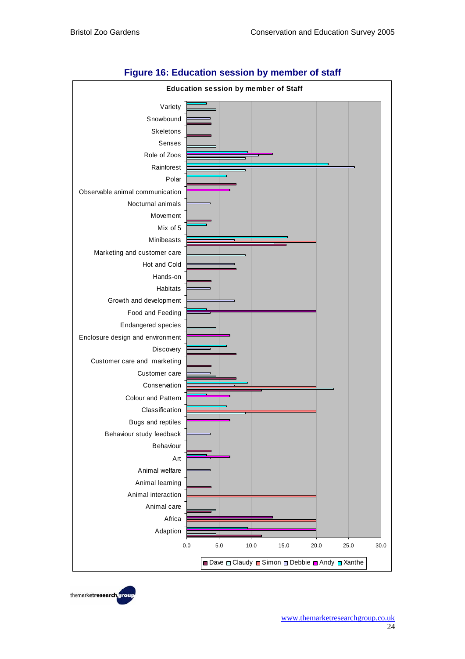

#### **Figure 16: Education session by member of staff**

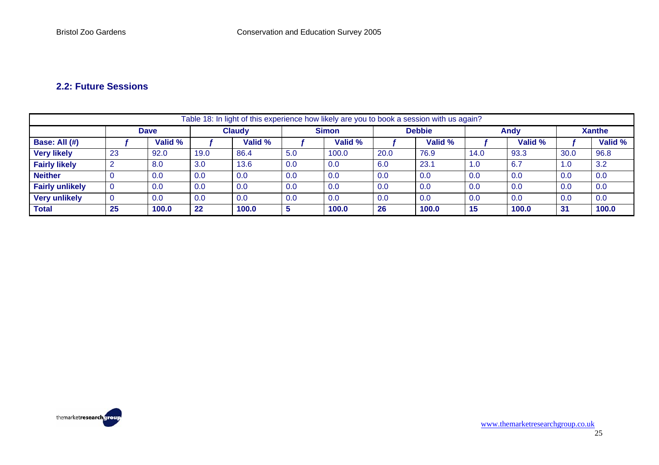#### **2.2: Future Sessions**

|                        | Table 18: In light of this experience how likely are you to book a session with us again? |         |               |         |     |              |      |               |      |         |               |         |  |  |
|------------------------|-------------------------------------------------------------------------------------------|---------|---------------|---------|-----|--------------|------|---------------|------|---------|---------------|---------|--|--|
|                        | <b>Dave</b>                                                                               |         | <b>Claudy</b> |         |     | <b>Simon</b> |      | <b>Debbie</b> |      | Andy    | <b>Xanthe</b> |         |  |  |
| <b>Base: All (#)</b>   |                                                                                           | Valid % |               | Valid % |     | Valid %      |      | Valid %       |      | Valid % |               | Valid % |  |  |
| <b>Very likely</b>     | 23                                                                                        | 92.0    | 19.0          | 86.4    | 5.0 | 100.0        | 20.0 | 76.9          | 14.0 | 93.3    | 30.0          | 96.8    |  |  |
| <b>Fairly likely</b>   |                                                                                           | 8.0     | 3.0           | 13.6    | 0.0 | 0.0          | 6.0  | 23.1          | 1.0  | 6.7     | 1.0           | 3.2     |  |  |
| <b>Neither</b>         |                                                                                           | 0.0     | 0.0           | 0.0     | 0.0 | 0.0          | 0.0  | 0.0           | 0.0  | 0.0     | 0.0           | 0.0     |  |  |
| <b>Fairly unlikely</b> |                                                                                           | 0.0     | 0.0           | 0.0     | 0.0 | 0.0          | 0.0  | 0.0           | 0.0  | 0.0     | 0.0           | 0.0     |  |  |
| <b>Very unlikely</b>   |                                                                                           | 0.0     | 0.0           | 0.0     | 0.0 | 0.0          | 0.0  | 0.0           | 0.0  | 0.0     | 0.0           | 0.0     |  |  |
| <b>Total</b>           | 25                                                                                        | 100.0   | 22            | 100.0   |     | 100.0        | 26   | 100.0         | 15   | 100.0   | -31           | 100.0   |  |  |

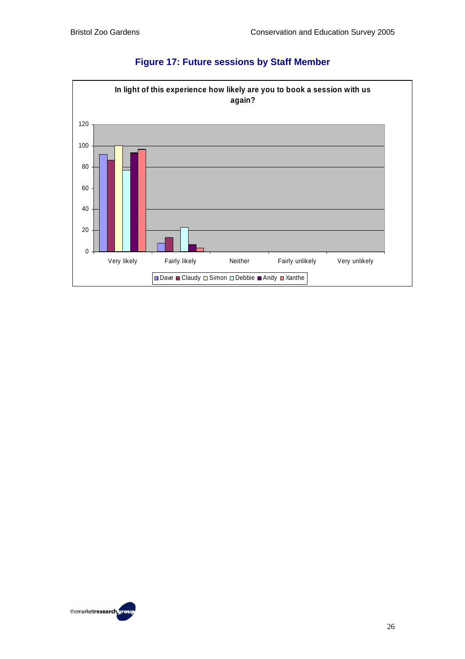

## **Figure 17: Future sessions by Staff Member**

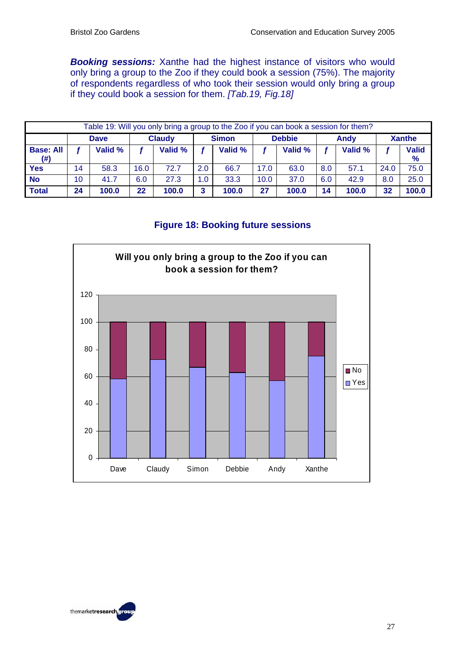*Booking sessions:* Xanthe had the highest instance of visitors who would only bring a group to the Zoo if they could book a session (75%). The majority of respondents regardless of who took their session would only bring a group if they could book a session for them. *[Tab.19, Fig.18]* 

|                          | Table 19: Will you only bring a group to the Zoo if you can book a session for them? |             |      |               |     |              |               |         |     |         |               |                      |  |
|--------------------------|--------------------------------------------------------------------------------------|-------------|------|---------------|-----|--------------|---------------|---------|-----|---------|---------------|----------------------|--|
|                          |                                                                                      | <b>Dave</b> |      | <b>Claudy</b> |     | <b>Simon</b> | <b>Debbie</b> |         |     | Andy    | <b>Xanthe</b> |                      |  |
| <b>Base: All</b><br>(# ) |                                                                                      | Valid %     |      | Valid %       |     | Valid %      |               | Valid % |     | Valid % |               | <b>Valid</b><br>$\%$ |  |
| <b>Yes</b>               | 14                                                                                   | 58.3        | 16.0 | 72.7          | 2.0 | 66.7         | 17.0          | 63.0    | 8.0 | 57.1    | 24.0          | 75.0                 |  |
| <b>No</b>                | 10                                                                                   | 41.7        | 6.0  | 27.3          | 1.0 | 33.3         | 10.0          | 37.0    | 6.0 | 42.9    | 8.0           | 25.0                 |  |
| <b>Total</b>             | 24                                                                                   | 100.0       | 22   | 100.0         | 3   | 100.0        | 27            | 100.0   | 14  | 100.0   | 32            | 100.0                |  |

#### **Figure 18: Booking future sessions**



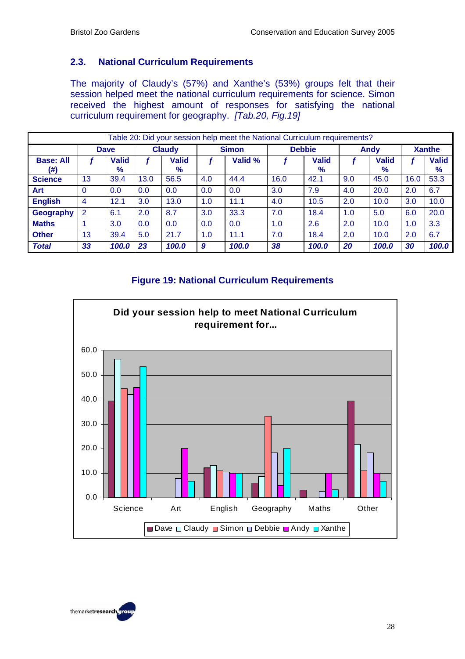#### **2.3. National Curriculum Requirements**

The majority of Claudy's (57%) and Xanthe's (53%) groups felt that their session helped meet the national curriculum requirements for science. Simon received the highest amount of responses for satisfying the national curriculum requirement for geography. *[Tab.20, Fig.19]*

|                         | Table 20: Did your session help meet the National Curriculum requirements? |                      |      |                      |              |       |               |                      |      |               |      |                      |  |  |
|-------------------------|----------------------------------------------------------------------------|----------------------|------|----------------------|--------------|-------|---------------|----------------------|------|---------------|------|----------------------|--|--|
|                         | <b>Claudy</b><br><b>Dave</b>                                               |                      |      |                      | <b>Simon</b> |       | <b>Debbie</b> |                      | Andy | <b>Xanthe</b> |      |                      |  |  |
| <b>Base: All</b><br>(#) |                                                                            | <b>Valid</b><br>$\%$ |      | <b>Valid</b><br>$\%$ | Valid %      |       |               | <b>Valid</b><br>$\%$ |      | Valid<br>%    |      | <b>Valid</b><br>$\%$ |  |  |
| <b>Science</b>          | 13                                                                         | 39.4                 | 13.0 | 56.5                 | 4.0          | 44.4  | 16.0          | 42.1                 | 9.0  | 45.0          | 16.0 | 53.3                 |  |  |
| Art                     | $\Omega$                                                                   | 0.0                  | 0.0  | 0.0                  | 0.0          | 0.0   | 3.0           | 7.9                  | 4.0  | 20.0          | 2.0  | 6.7                  |  |  |
| <b>English</b>          | 4                                                                          | 12.1                 | 3.0  | 13.0                 | 1.0          | 11.1  | 4.0           | 10.5                 | 2.0  | 10.0          | 3.0  | 10.0                 |  |  |
| Geography               | 2                                                                          | 6.1                  | 2.0  | 8.7                  | 3.0          | 33.3  | 7.0           | 18.4                 | 1.0  | 5.0           | 6.0  | 20.0                 |  |  |
| <b>Maths</b>            |                                                                            | 3.0                  | 0.0  | 0.0                  | 0.0          | 0.0   | 1.0           | 2.6                  | 2.0  | 10.0          | 1.0  | 3.3                  |  |  |
| <b>Other</b>            | 13                                                                         | 39.4                 | 5.0  | 21.7                 | 1.0          | 11.1  | 7.0           | 18.4                 | 2.0  | 10.0          | 2.0  | 6.7                  |  |  |
| <b>Total</b>            | 33                                                                         | 100.0                | 23   | 100.0                | 9            | 100.0 | 38            | 100.0                | 20   | 100.0         | 30   | 100.0                |  |  |

#### **Figure 19: National Curriculum Requirements**



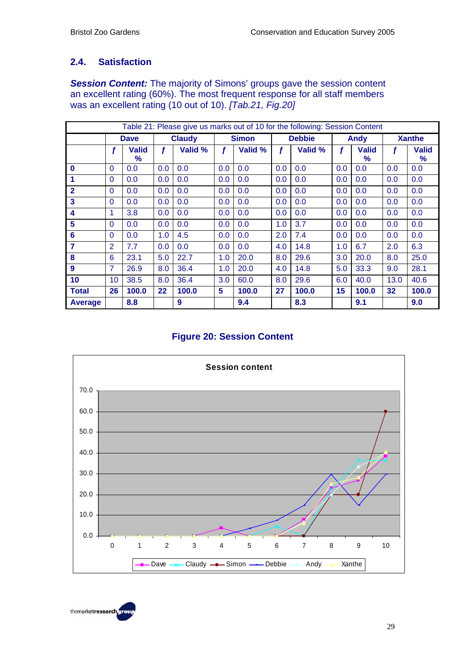## **2.4. Satisfaction**

*Session Content:* The majority of Simons' groups gave the session content an excellent rating (60%). The most frequent response for all staff members was an excellent rating (10 out of 10). *[Tab.21, Fig.20]*

|                     |                |                   |     |               |     |              |     | Table 21: Please give us marks out of 10 for the following: Session Content |     |                   |      |                               |
|---------------------|----------------|-------------------|-----|---------------|-----|--------------|-----|-----------------------------------------------------------------------------|-----|-------------------|------|-------------------------------|
|                     |                | <b>Dave</b>       |     | <b>Claudy</b> |     | <b>Simon</b> |     | <b>Debbie</b>                                                               |     | <b>Andy</b>       |      | <b>Xanthe</b>                 |
|                     | f              | <b>Valid</b><br>% | f   | Valid %       | f   | Valid %      |     | Valid %                                                                     |     | <b>Valid</b><br>% | f    | <b>Valid</b><br>$\frac{9}{6}$ |
| $\mathbf 0$         | $\Omega$       | 0.0               | 0.0 | 0.0           | 0.0 | 0.0          | 0.0 | 0.0                                                                         | 0.0 | 0.0               | 0.0  | 0.0                           |
| $\overline{1}$      | $\Omega$       | 0.0               | 0.0 | 0.0           | 0.0 | 0.0          | 0.0 | 0.0                                                                         | 0.0 | 0.0               | 0.0  | 0.0                           |
| $\mathbf{2}$        | $\Omega$       | 0.0               | 0.0 | 0.0           | 0.0 | 0.0          | 0.0 | 0.0                                                                         | 0.0 | 0.0               | 0.0  | 0.0                           |
| 3                   | $\Omega$       | 0.0               | 0.0 | 0.0           | 0.0 | 0.0          | 0.0 | 0.0                                                                         | 0.0 | 0.0               | 0.0  | 0.0                           |
| $\overline{\bf{4}}$ | 1              | 3.8               | 0.0 | 0.0           | 0.0 | 0.0          | 0.0 | 0.0                                                                         | 0.0 | 0.0               | 0.0  | 0.0                           |
| 5                   | $\Omega$       | 0.0               | 0.0 | 0.0           | 0.0 | 0.0          | 1.0 | 3.7                                                                         | 0.0 | 0.0               | 0.0  | 0.0                           |
| 6                   | $\Omega$       | 0.0               | 1.0 | 4.5           | 0.0 | 0.0          | 2.0 | 7.4                                                                         | 0.0 | 0.0               | 0.0  | 0.0                           |
| 7                   | $\overline{2}$ | 7.7               | 0.0 | 0.0           | 0.0 | 0.0          | 4.0 | 14.8                                                                        | 1.0 | 6.7               | 2.0  | 6.3                           |
| 8                   | 6              | 23.1              | 5.0 | 22.7          | 1.0 | 20.0         | 8.0 | 29.6                                                                        | 3.0 | 20.0              | 8.0  | 25.0                          |
| 9                   | $\overline{7}$ | 26.9              | 8.0 | 36.4          | 1.0 | 20.0         | 4.0 | 14.8                                                                        | 5.0 | 33.3              | 9.0  | 28.1                          |
| 10                  | 10             | 38.5              | 8.0 | 36.4          | 3.0 | 60.0         | 8.0 | 29.6                                                                        | 6.0 | 40.0              | 13.0 | 40.6                          |
| <b>Total</b>        | 26             | 100.0             | 22  | 100.0         | 5   | 100.0        | 27  | 100.0                                                                       | 15  | 100.0             | 32   | 100.0                         |
| <b>Average</b>      |                | 8.8               |     | 9             |     | 9.4          |     | 8.3                                                                         |     | 9.1               |      | 9.0                           |

### **Figure 20: Session Content**



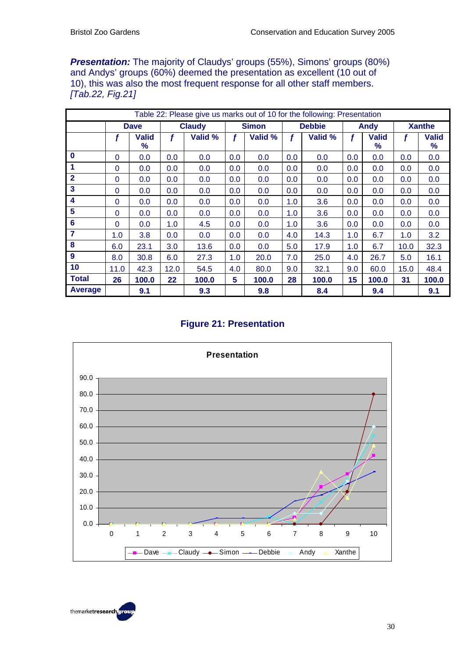**Presentation:** The majority of Claudys' groups (55%), Simons' groups (80%) and Andys' groups (60%) deemed the presentation as excellent (10 out of 10), this was also the most frequent response for all other staff members. *[Tab.22, Fig.21]*

|                         |              |                      |      | Table 22: Please give us marks out of 10 for the following: Presentation |     |              |     |               |     |                   |      |                   |
|-------------------------|--------------|----------------------|------|--------------------------------------------------------------------------|-----|--------------|-----|---------------|-----|-------------------|------|-------------------|
|                         |              | <b>Dave</b>          |      | <b>Claudy</b>                                                            |     | <b>Simon</b> |     | <b>Debbie</b> |     | Andy              |      | <b>Xanthe</b>     |
|                         |              | <b>Valid</b><br>$\%$ | f    | Valid %                                                                  | f   | Valid %      | f   | Valid %       | f   | <b>Valid</b><br>℅ |      | <b>Valid</b><br>% |
| $\bf{0}$                | $\Omega$     | 0.0                  | 0.0  | 0.0                                                                      | 0.0 | 0.0          | 0.0 | 0.0           | 0.0 | 0.0               | 0.0  | 0.0               |
| 1                       | 0            | 0.0                  | 0.0  | 0.0                                                                      | 0.0 | 0.0          | 0.0 | 0.0           | 0.0 | 0.0               | 0.0  | 0.0               |
| $\overline{2}$          | 0            | 0.0                  | 0.0  | 0.0                                                                      | 0.0 | 0.0          | 0.0 | 0.0           | 0.0 | 0.0               | 0.0  | 0.0               |
| 3                       | 0            | 0.0                  | 0.0  | 0.0                                                                      | 0.0 | 0.0          | 0.0 | 0.0           | 0.0 | 0.0               | 0.0  | 0.0               |
| $\overline{\mathbf{4}}$ | $\mathbf{0}$ | 0.0                  | 0.0  | 0.0                                                                      | 0.0 | 0.0          | 1.0 | 3.6           | 0.0 | 0.0               | 0.0  | 0.0               |
| 5                       | 0            | 0.0                  | 0.0  | 0.0                                                                      | 0.0 | 0.0          | 1.0 | 3.6           | 0.0 | 0.0               | 0.0  | 0.0               |
| $6\phantom{1}6$         | $\mathbf 0$  | 0.0                  | 1.0  | 4.5                                                                      | 0.0 | 0.0          | 1.0 | 3.6           | 0.0 | 0.0               | 0.0  | 0.0               |
| 7                       | 1.0          | 3.8                  | 0.0  | 0.0                                                                      | 0.0 | 0.0          | 4.0 | 14.3          | 1.0 | 6.7               | 1.0  | 3.2               |
| 8                       | 6.0          | 23.1                 | 3.0  | 13.6                                                                     | 0.0 | 0.0          | 5.0 | 17.9          | 1.0 | 6.7               | 10.0 | 32.3              |
| 9                       | 8.0          | 30.8                 | 6.0  | 27.3                                                                     | 1.0 | 20.0         | 7.0 | 25.0          | 4.0 | 26.7              | 5.0  | 16.1              |
| 10                      | 11.0         | 42.3                 | 12.0 | 54.5                                                                     | 4.0 | 80.0         | 9.0 | 32.1          | 9.0 | 60.0              | 15.0 | 48.4              |
| <b>Total</b>            | 26           | 100.0                | 22   | 100.0                                                                    | 5   | 100.0        | 28  | 100.0         | 15  | 100.0             | 31   | 100.0             |
| Average                 |              | 9.1                  |      | 9.3                                                                      |     | 9.8          |     | 8.4           |     | 9.4               |      | 9.1               |

#### **Figure 21: Presentation**



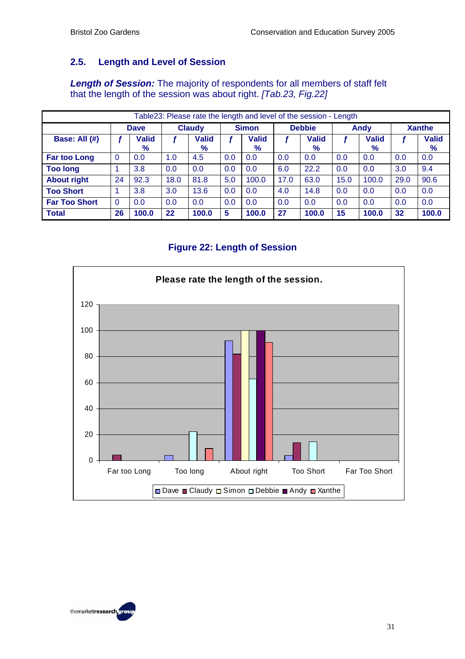### **2.5. Length and Level of Session**

*Length of Session:* The majority of respondents for all members of staff felt that the length of the session was about right. *[Tab.23, Fig.22]*

|                      |             |                      |               |               |     |                      |               | Table23: Please rate the length and level of the session - Length |      |                   |               |                      |
|----------------------|-------------|----------------------|---------------|---------------|-----|----------------------|---------------|-------------------------------------------------------------------|------|-------------------|---------------|----------------------|
|                      | <b>Dave</b> |                      | <b>Claudy</b> |               |     | <b>Simon</b>         | <b>Debbie</b> |                                                                   |      | <b>Andy</b>       | <b>Xanthe</b> |                      |
| Base: All (#)        |             | <b>Valid</b><br>$\%$ |               | Valid<br>$\%$ |     | <b>Valid</b><br>$\%$ |               | <b>Valid</b><br>$\%$                                              |      | <b>Valid</b><br>% |               | <b>Valid</b><br>$\%$ |
| <b>Far too Long</b>  | $\Omega$    | 0.0                  | 1.0           | 4.5           | 0.0 | 0.0                  | 0.0           | 0.0                                                               | 0.0  | 0.0               | 0.0           | 0.0                  |
| <b>Too long</b>      |             | 3.8                  | 0.0           | 0.0           | 0.0 | 0.0                  | 6.0           | 22.2                                                              | 0.0  | 0.0               | 3.0           | 9.4                  |
| <b>About right</b>   | 24          | 92.3                 | 18.0          | 81.8          | 5.0 | 100.0                | 17.0          | 63.0                                                              | 15.0 | 100.0             | 29.0          | 90.6                 |
| <b>Too Short</b>     |             | 3.8                  | 3.0           | 13.6          | 0.0 | 0.0                  | 4.0           | 14.8                                                              | 0.0  | 0.0               | 0.0           | 0.0                  |
| <b>Far Too Short</b> | $\Omega$    | 0.0                  | 0.0           | 0.0           | 0.0 | 0.0                  | 0.0           | 0.0                                                               | 0.0  | 0.0               | 0.0           | 0.0                  |
| <b>Total</b>         | 26          | 100.0                | 22            | 100.0         | 5   | 100.0                | 27            | 100.0                                                             | 15   | 100.0             | 32            | 100.0                |

#### **Figure 22: Length of Session**



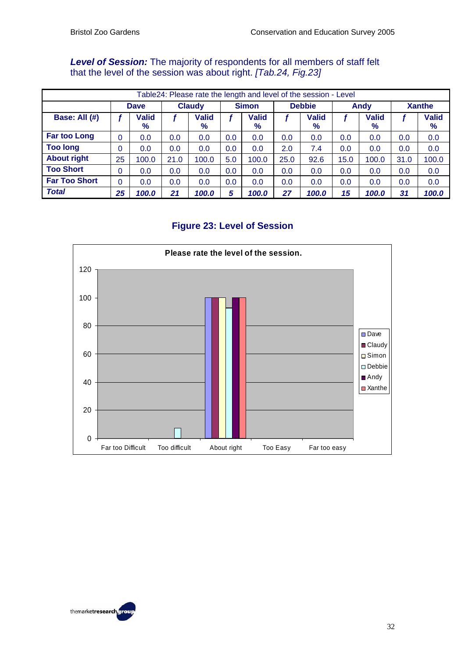#### *Level of Session:* The majority of respondents for all members of staff felt that the level of the session was about right. *[Tab.24, Fig.23]*

| Table24: Please rate the length and level of the session - Level |             |                      |               |               |              |                      |               |                      |      |                   |               |                      |
|------------------------------------------------------------------|-------------|----------------------|---------------|---------------|--------------|----------------------|---------------|----------------------|------|-------------------|---------------|----------------------|
|                                                                  | <b>Dave</b> |                      | <b>Claudy</b> |               | <b>Simon</b> |                      | <b>Debbie</b> |                      | Andy |                   | <b>Xanthe</b> |                      |
| Base: All (#)                                                    |             | <b>Valid</b><br>$\%$ |               | Valid<br>$\%$ |              | <b>Valid</b><br>$\%$ |               | <b>Valid</b><br>$\%$ |      | <b>Valid</b><br>% |               | <b>Valid</b><br>$\%$ |
| <b>Far too Long</b>                                              | $\Omega$    | 0.0                  | 0.0           | 0.0           | 0.0          | 0.0                  | 0.0           | 0.0                  | 0.0  | 0.0               | 0.0           | 0.0                  |
| <b>Too long</b>                                                  | 0           | 0.0                  | 0.0           | 0.0           | 0.0          | 0.0                  | 2.0           | 7.4                  | 0.0  | 0.0               | 0.0           | 0.0                  |
| <b>About right</b>                                               | 25          | 100.0                | 21.0          | 100.0         | 5.0          | 100.0                | 25.0          | 92.6                 | 15.0 | 100.0             | 31.0          | 100.0                |
| <b>Too Short</b>                                                 | 0           | 0.0                  | 0.0           | 0.0           | 0.0          | 0.0                  | 0.0           | 0.0                  | 0.0  | 0.0               | 0.0           | 0.0                  |
| <b>Far Too Short</b>                                             | $\Omega$    | 0.0                  | 0.0           | 0.0           | 0.0          | 0.0                  | 0.0           | 0.0                  | 0.0  | 0.0               | 0.0           | 0.0                  |
| <b>Total</b>                                                     | 25          | 100.0                | 21            | 100.0         | 5            | 100.0                | 27            | 100.0                | 15   | 100.0             | 31            | 100.0                |

### **Figure 23: Level of Session**



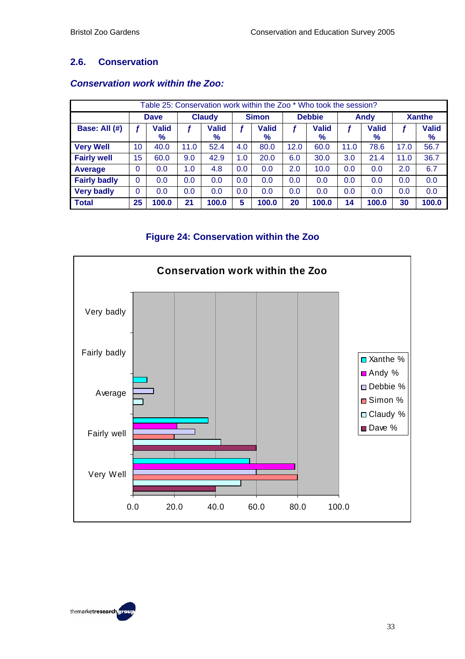#### **2.6. Conservation**

| Table 25: Conservation work within the Zoo * Who took the session? |              |                      |               |                   |              |                   |               |                   |      |                      |               |                   |
|--------------------------------------------------------------------|--------------|----------------------|---------------|-------------------|--------------|-------------------|---------------|-------------------|------|----------------------|---------------|-------------------|
|                                                                    | <b>Dave</b>  |                      | <b>Claudy</b> |                   | <b>Simon</b> |                   | <b>Debbie</b> |                   | Andy |                      | <b>Xanthe</b> |                   |
| Base: All (#)                                                      |              | <b>Valid</b><br>$\%$ |               | <b>Valid</b><br>% |              | <b>Valid</b><br>% |               | <b>Valid</b><br>% |      | <b>Valid</b><br>$\%$ |               | <b>Valid</b><br>% |
| <b>Very Well</b>                                                   | 10           | 40.0                 | 11.0          | 52.4              | 4.0          | 80.0              | 12.0          | 60.0              | 11.0 | 78.6                 | 17.0          | 56.7              |
| <b>Fairly well</b>                                                 | 15           | 60.0                 | 9.0           | 42.9              | 1.0          | 20.0              | 6.0           | 30.0              | 3.0  | 21.4                 | 11.0          | 36.7              |
| Average                                                            | 0            | 0.0                  | 1.0           | 4.8               | 0.0          | 0.0               | 2.0           | 10.0              | 0.0  | 0.0                  | 2.0           | 6.7               |
| <b>Fairly badly</b>                                                | $\Omega$     | 0.0                  | 0.0           | 0.0               | 0.0          | 0.0               | 0.0           | 0.0               | 0.0  | 0.0                  | 0.0           | 0.0               |
| <b>Very badly</b>                                                  | $\mathbf{0}$ | 0.0                  | 0.0           | 0.0               | 0.0          | 0.0               | 0.0           | 0.0               | 0.0  | 0.0                  | 0.0           | 0.0               |
| <b>Total</b>                                                       | 25           | 100.0                | 21            | 100.0             | 5            | 100.0             | 20            | 100.0             | 14   | 100.0                | 30            | 100.0             |

#### *Conservation work within the Zoo:*

## **Figure 24: Conservation within the Zoo**



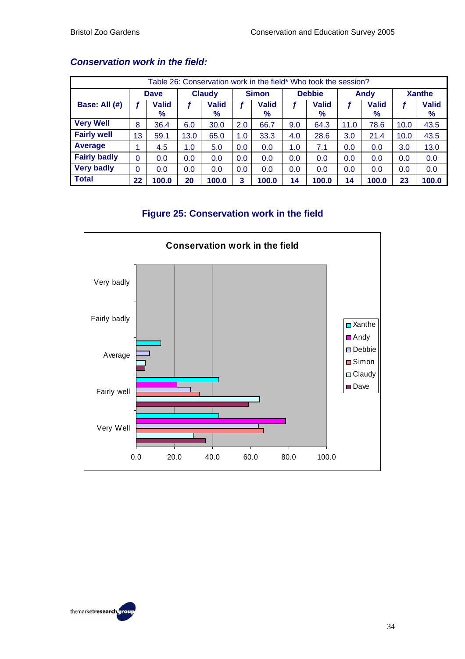| Table 26: Conservation work in the field* Who took the session? |             |                      |        |                   |              |                      |               |                      |      |                      |               |                   |  |
|-----------------------------------------------------------------|-------------|----------------------|--------|-------------------|--------------|----------------------|---------------|----------------------|------|----------------------|---------------|-------------------|--|
|                                                                 | <b>Dave</b> |                      | Claudy |                   | <b>Simon</b> |                      | <b>Debbie</b> |                      | Andy |                      | <b>Xanthe</b> |                   |  |
| Base: All (#)                                                   |             | <b>Valid</b><br>$\%$ |        | <b>Valid</b><br>% |              | <b>Valid</b><br>$\%$ |               | <b>Valid</b><br>$\%$ |      | <b>Valid</b><br>$\%$ |               | <b>Valid</b><br>% |  |
| <b>Very Well</b>                                                | 8           | 36.4                 | 6.0    | 30.0              | 2.0          | 66.7                 | 9.0           | 64.3                 | 11.0 | 78.6                 | 10.0          | 43.5              |  |
| <b>Fairly well</b>                                              | 13          | 59.1                 | 13.0   | 65.0              | 1.0          | 33.3                 | 4.0           | 28.6                 | 3.0  | 21.4                 | 10.0          | 43.5              |  |
| Average                                                         |             | 4.5                  | 1.0    | 5.0               | 0.0          | 0.0                  | 1.0           | 7.1                  | 0.0  | 0.0                  | 3.0           | 13.0              |  |
| <b>Fairly badly</b>                                             | $\Omega$    | 0.0                  | 0.0    | 0.0               | 0.0          | 0.0                  | 0.0           | 0.0                  | 0.0  | 0.0                  | 0.0           | 0.0               |  |
| <b>Very badly</b>                                               | 0           | 0.0                  | 0.0    | 0.0               | 0.0          | 0.0                  | 0.0           | 0.0                  | 0.0  | 0.0                  | 0.0           | 0.0               |  |
| <b>Total</b>                                                    | 22          | 100.0                | 20     | 100.0             | 3            | 100.0                | 14            | 100.0                | 14   | 100.0                | 23            | 100.0             |  |

#### *Conservation work in the field:*

#### **Figure 25: Conservation work in the field**



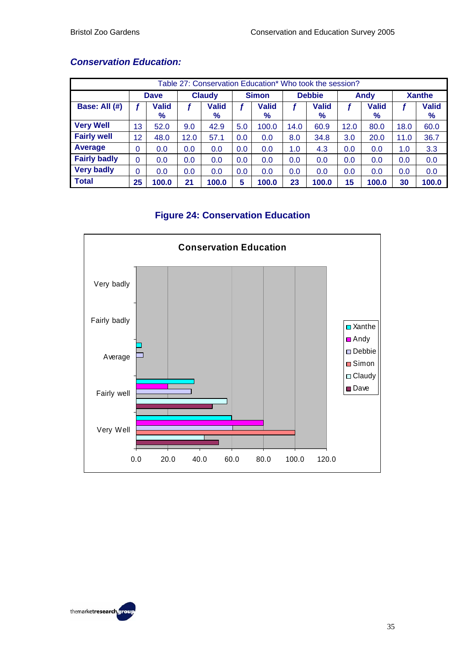| Table 27: Conservation Education* Who took the session? |             |                      |               |                   |              |                      |               |                      |             |                      |               |                      |  |
|---------------------------------------------------------|-------------|----------------------|---------------|-------------------|--------------|----------------------|---------------|----------------------|-------------|----------------------|---------------|----------------------|--|
|                                                         | <b>Dave</b> |                      | <b>Claudy</b> |                   | <b>Simon</b> |                      | <b>Debbie</b> |                      | <b>Andy</b> |                      | <b>Xanthe</b> |                      |  |
| Base: All (#)                                           |             | <b>Valid</b><br>$\%$ |               | <b>Valid</b><br>% |              | <b>Valid</b><br>$\%$ |               | <b>Valid</b><br>$\%$ |             | <b>Valid</b><br>$\%$ |               | <b>Valid</b><br>$\%$ |  |
| <b>Very Well</b>                                        | 13          | 52.0                 | 9.0           | 42.9              | 5.0          | 100.0                | 14.0          | 60.9                 | 12.0        | 80.0                 | 18.0          | 60.0                 |  |
| <b>Fairly well</b>                                      | 12          | 48.0                 | 12.0          | 57.1              | 0.0          | 0.0                  | 8.0           | 34.8                 | 3.0         | 20.0                 | 11.0          | 36.7                 |  |
| Average                                                 | 0           | 0.0                  | 0.0           | 0.0               | 0.0          | 0.0                  | 1.0           | 4.3                  | 0.0         | 0.0                  | 1.0           | 3.3                  |  |
| <b>Fairly badly</b>                                     | 0           | 0.0                  | 0.0           | 0.0               | 0.0          | 0.0                  | 0.0           | 0.0                  | 0.0         | 0.0                  | 0.0           | 0.0                  |  |
| <b>Very badly</b>                                       | 0           | 0.0                  | 0.0           | 0.0               | 0.0          | 0.0                  | 0.0           | 0.0                  | 0.0         | 0.0                  | 0.0           | 0.0                  |  |
| <b>Total</b>                                            | 25          | 100.0                | 21            | 100.0             | 5            | 100.0                | 23            | 100.0                | 15          | 100.0                | 30            | 100.0                |  |

## *Conservation Education:*

## **Figure 24: Conservation Education**